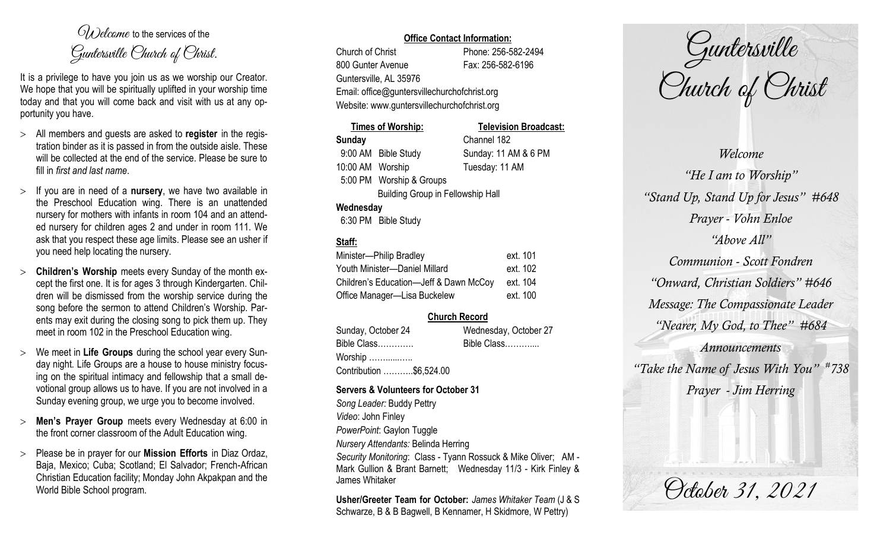$O(\lambda)$  elcame to the services of the Guntersville Church of Christ.

It is a privilege to have you join us as we worship our Creator. We hope that you will be spiritually uplifted in your worship time today and that you will come back and visit with us at any opportunity you have.

- All members and guests are asked to **register** in the registration binder as it is passed in from the outside aisle. These will be collected at the end of the service. Please be sure to fill in *first and last name*.
- $>$  If you are in need of a **nursery**, we have two available in the Preschool Education wing. There is an unattended nursery for mothers with infants in room 104 and an attended nursery for children ages 2 and under in room 111. We ask that you respect these age limits. Please see an usher if you need help locating the nursery.
- **Children's Worship** meets every Sunday of the month except the first one. It is for ages 3 through Kindergarten. Children will be dismissed from the worship service during the song before the sermon to attend Children's Worship. Parents may exit during the closing song to pick them up. They meet in room 102 in the Preschool Education wing.
- We meet in **Life Groups** during the school year every Sunday night. Life Groups are a house to house ministry focusing on the spiritual intimacy and fellowship that a small devotional group allows us to have. If you are not involved in a Sunday evening group, we urge you to become involved.
- **Men's Prayer Group** meets every Wednesday at 6:00 in the front corner classroom of the Adult Education wing.
- Please be in prayer for our **Mission Efforts** in Diaz Ordaz, Baja, Mexico; Cuba; Scotland; El Salvador; French-African Christian Education facility; Monday John Akpakpan and the World Bible School program.

## **Office Contact Information:**

Church of Christ Phone: 256-582-2494 800 Gunter Avenue Fax: 256-582-6196 Guntersville, AL 35976 Email: office@guntersvillechurchofchrist.org Website: www.guntersvillechurchofchrist.org

|                                          | Times of Worship:             | <b>Television Broadcast:</b> |
|------------------------------------------|-------------------------------|------------------------------|
| <b>Sunday</b>                            |                               | Channel 182                  |
|                                          | 9:00 AM Bible Study           | Sunday: 11 AM & 6 PM         |
| 10:00 AM Worship                         |                               | Tuesday: 11 AM               |
|                                          | 5:00 PM Worship & Groups      |                              |
| <b>Building Group in Fellowship Hall</b> |                               |                              |
| Wednesday                                |                               |                              |
|                                          | $0.00 \text{ DM}$ Dill $01.1$ |                              |

### 6:30 PM Bible Study

# **Staff:**

| Minister-Philip Bradley                | ext. 101 |
|----------------------------------------|----------|
| Youth Minister-Daniel Millard          | ext. 102 |
| Children's Education-Jeff & Dawn McCoy | ext. 104 |
| Office Manager-Lisa Buckelew           | ext. 100 |

# **Church Record**

Sunday, October 24 Wednesday, October 27 Bible Class…………. Bible Class……….... Worship ……......….. Contribution ………..\$6,524.00

#### **Servers & Volunteers for October 31**

*Song Leader:* Buddy Pettry *Video*: John Finley *PowerPoint*: Gaylon Tuggle *Nursery Attendants:* Belinda Herring *Security Monitoring*: Class - Tyann Rossuck & Mike Oliver; AM - Mark Gullion & Brant Barnett; Wednesday 11/3 - Kirk Finley & James Whitaker

**Usher/Greeter Team for October:** *James Whitaker Team* (J & S Schwarze, B & B Bagwell, B Kennamer, H Skidmore, W Pettry)

Guntersville Church of Christ

*Welcome "He I am to Worship" "Stand Up, Stand Up for Jesus" #648 Prayer - Vohn Enloe "Above All" Communion - Scott Fondren "Onward, Christian Soldiers" #646 Message: The Compassionate Leader "Nearer, My God, to Thee" #684 Announcements "Take the Name of Jesus With You" # 738 Prayer - Jim Herring*

October 31, 2021